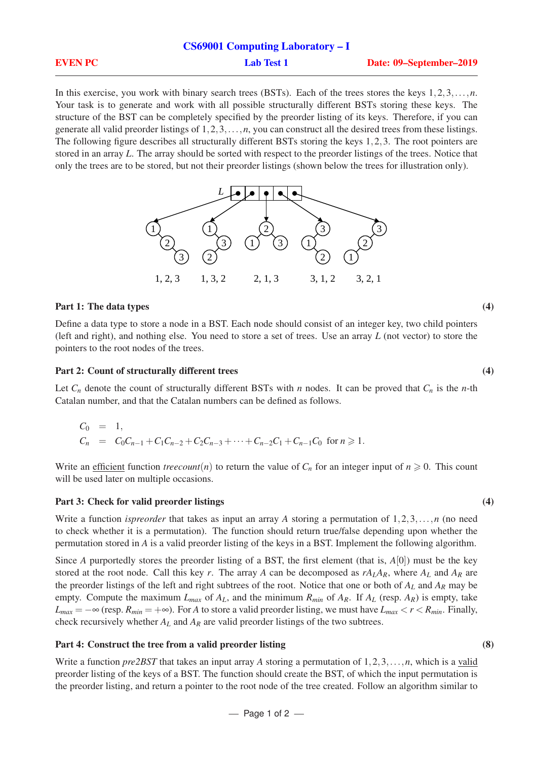|                | <b>CS69001 Computing Laboratory – I</b> |                         |
|----------------|-----------------------------------------|-------------------------|
| <b>EVEN PC</b> | <b>Lab Test 1</b>                       | Date: 09–September–2019 |

In this exercise, you work with binary search trees (BSTs). Each of the trees stores the keys 1,2,3,...,*n*. Your task is to generate and work with all possible structurally different BSTs storing these keys. The structure of the BST can be completely specified by the preorder listing of its keys. Therefore, if you can generate all valid preorder listings of 1,2,3,...,*n*, you can construct all the desired trees from these listings. The following figure describes all structurally different BSTs storing the keys 1,2,3. The root pointers are stored in an array *L*. The array should be sorted with respect to the preorder listings of the trees. Notice that only the trees are to be stored, but not their preorder listings (shown below the trees for illustration only).



## Part 1: The data types (4)

Define a data type to store a node in a BST. Each node should consist of an integer key, two child pointers (left and right), and nothing else. You need to store a set of trees. Use an array *L* (not vector) to store the pointers to the root nodes of the trees.

### Part 2: Count of structurally different trees (4)

Let  $C_n$  denote the count of structurally different BSTs with *n* nodes. It can be proved that  $C_n$  is the *n*-th Catalan number, and that the Catalan numbers can be defined as follows.

$$
C_0 = 1,
$$
  
\n
$$
C_n = C_0C_{n-1} + C_1C_{n-2} + C_2C_{n-3} + \dots + C_{n-2}C_1 + C_{n-1}C_0 \text{ for } n \ge 1.
$$

Write an efficient function *treecount*(*n*) to return the value of  $C_n$  for an integer input of  $n \ge 0$ . This count will be used later on multiple occasions.

#### Part 3: Check for valid preorder listings (4)

Write a function *ispreorder* that takes as input an array *A* storing a permutation of 1,2,3,...,*n* (no need to check whether it is a permutation). The function should return true/false depending upon whether the permutation stored in *A* is a valid preorder listing of the keys in a BST. Implement the following algorithm.

Since *A* purportedly stores the preorder listing of a BST, the first element (that is,  $A[0]$ ) must be the key stored at the root node. Call this key *r*. The array *A* can be decomposed as  $rA<sub>L</sub>A<sub>R</sub>$ , where  $A<sub>L</sub>$  and  $A<sub>R</sub>$  are the preorder listings of the left and right subtrees of the root. Notice that one or both of *A<sup>L</sup>* and *A<sup>R</sup>* may be empty. Compute the maximum  $L_{max}$  of  $A_L$ , and the minimum  $R_{min}$  of  $A_R$ . If  $A_L$  (resp.  $A_R$ ) is empty, take  $L_{max} = -\infty$  (resp.  $R_{min} = +\infty$ ). For *A* to store a valid preorder listing, we must have  $L_{max} < r < R_{min}$ . Finally, check recursively whether *A<sup>L</sup>* and *A<sup>R</sup>* are valid preorder listings of the two subtrees.

#### Part 4: Construct the tree from a valid preorder listing (8)

Write a function *pre2BST* that takes an input array *A* storing a permutation of 1,2,3,...,*n*, which is a valid preorder listing of the keys of a BST. The function should create the BST, of which the input permutation is the preorder listing, and return a pointer to the root node of the tree created. Follow an algorithm similar to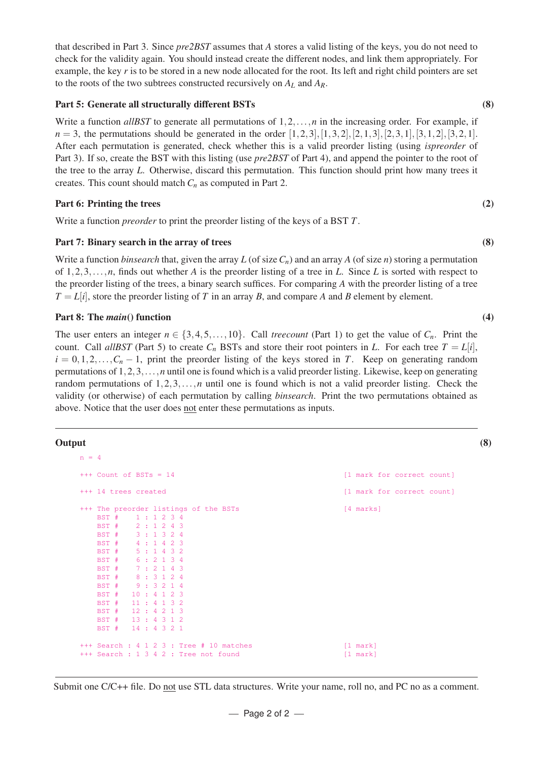that described in Part 3. Since *pre2BST* assumes that *A* stores a valid listing of the keys, you do not need to check for the validity again. You should instead create the different nodes, and link them appropriately. For example, the key *r* is to be stored in a new node allocated for the root. Its left and right child pointers are set to the roots of the two subtrees constructed recursively on  $A_L$  and  $A_R$ .

## Part 5: Generate all structurally different BSTs (8)

Write a function *allBST* to generate all permutations of  $1, 2, \ldots, n$  in the increasing order. For example, if  $n = 3$ , the permutations should be generated in the order  $[1,2,3]$ ,  $[1,3,2]$ ,  $[2,1,3]$ ,  $[2,3,1]$ ,  $[3,1,2]$ ,  $[3,2,1]$ . After each permutation is generated, check whether this is a valid preorder listing (using *ispreorder* of Part 3). If so, create the BST with this listing (use *pre2BST* of Part 4), and append the pointer to the root of the tree to the array *L*. Otherwise, discard this permutation. This function should print how many trees it creates. This count should match  $C_n$  as computed in Part 2.

## Part 6: Printing the trees (2)

Write a function *preorder* to print the preorder listing of the keys of a BST *T*.

### Part 7: Binary search in the array of trees (8)

Write a function *binsearch* that, given the array *L* (of size  $C_n$ ) and an array *A* (of size *n*) storing a permutation of 1,2,3,...,*n*, finds out whether *A* is the preorder listing of a tree in *L*. Since *L* is sorted with respect to the preorder listing of the trees, a binary search suffices. For comparing *A* with the preorder listing of a tree  $T = L[i]$ , store the preorder listing of *T* in an array *B*, and compare *A* and *B* element by element.

## Part 8: The *main*() function (4)

The user enters an integer  $n \in \{3, 4, 5, \ldots, 10\}$ . Call *treecount* (Part 1) to get the value of  $C_n$ . Print the count. Call *allBST* (Part 5) to create  $C_n$  BSTs and store their root pointers in *L*. For each tree  $T = L[i]$ ,  $i = 0, 1, 2, \ldots, C_n - 1$ , print the preorder listing of the keys stored in *T*. Keep on generating random permutations of 1,2,3,...,*n* until one is found which is a valid preorder listing. Likewise, keep on generating random permutations of 1,2,3,...,*n* until one is found which is not a valid preorder listing. Check the validity (or otherwise) of each permutation by calling *binsearch*. Print the two permutations obtained as above. Notice that the user does not enter these permutations as inputs.

#### Output (8)

```
n = 4+++ Count of BSTs = 14 [1 mark for correct count]
+++ 14 trees created [1 mark for correct count]
+++ The preorder listings of the BSTs [4 marks]
   BST # 1 : 1 2 3 4
   BST # 2 : 1 2 4 3
   BST # 3 : 1 3 2 4
   BST # 4 : 1 4 2 3
   BST # 5 : 1 4 3 2
   BST # 6 : 2 1 3 4
   BST # 7 : 2 1 4 3
   BST # 8 : 3 1 2 4
   BST # 9 : 3 2 1 4
   BST # 10 : 4 1 2 3
   BST # 11 : 4 1 3 2
   BST # 12 : 4 2 1 3
   BST # 13 : 4 3 1 2
   BST # 14 : 4 3 2 1
+++ Search : 4 1 2 3 : Tree # 10 matches [1 mark]
+++ Search : 1 3 4 2 : Tree not found [1 mark]
```
Submit one C/C++ file. Do not use STL data structures. Write your name, roll no, and PC no as a comment.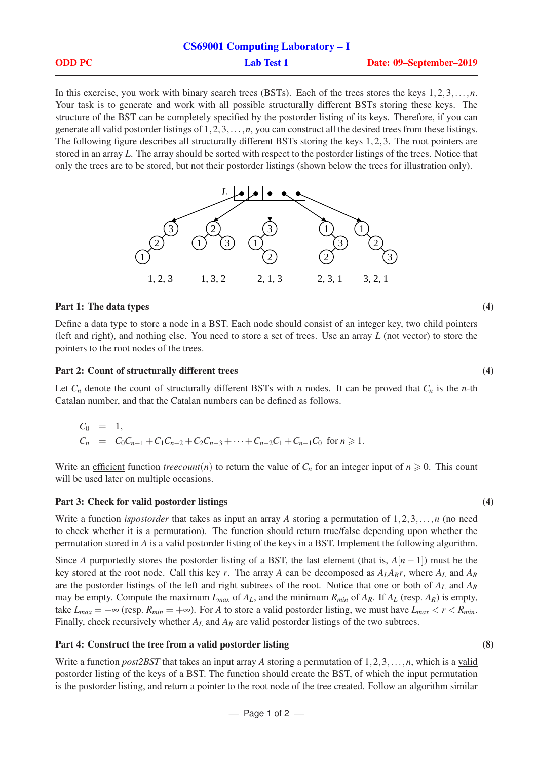|               | <b>CS69001 Computing Laboratory – I</b> |                         |
|---------------|-----------------------------------------|-------------------------|
| <b>ODD PC</b> | <b>Lab Test 1</b>                       | Date: 09–September–2019 |

In this exercise, you work with binary search trees (BSTs). Each of the trees stores the keys 1,2,3,...,*n*. Your task is to generate and work with all possible structurally different BSTs storing these keys. The structure of the BST can be completely specified by the postorder listing of its keys. Therefore, if you can generate all valid postorder listings of 1,2,3,...,*n*, you can construct all the desired trees from these listings. The following figure describes all structurally different BSTs storing the keys 1,2,3. The root pointers are stored in an array *L*. The array should be sorted with respect to the postorder listings of the trees. Notice that only the trees are to be stored, but not their postorder listings (shown below the trees for illustration only).



## Part 1: The data types (4)

Define a data type to store a node in a BST. Each node should consist of an integer key, two child pointers (left and right), and nothing else. You need to store a set of trees. Use an array *L* (not vector) to store the pointers to the root nodes of the trees.

### Part 2: Count of structurally different trees (4)

Let  $C_n$  denote the count of structurally different BSTs with *n* nodes. It can be proved that  $C_n$  is the *n*-th Catalan number, and that the Catalan numbers can be defined as follows.

$$
C_0 = 1,
$$
  
\n
$$
C_n = C_0C_{n-1} + C_1C_{n-2} + C_2C_{n-3} + \dots + C_{n-2}C_1 + C_{n-1}C_0 \text{ for } n \ge 1.
$$

Write an efficient function *treecount*(*n*) to return the value of  $C_n$  for an integer input of  $n \ge 0$ . This count will be used later on multiple occasions.

#### Part 3: Check for valid postorder listings (4)

Write a function *ispostorder* that takes as input an array *A* storing a permutation of 1,2,3,...,*n* (no need to check whether it is a permutation). The function should return true/false depending upon whether the permutation stored in *A* is a valid postorder listing of the keys in a BST. Implement the following algorithm.

Since *A* purportedly stores the postorder listing of a BST, the last element (that is,  $A[n-1]$ ) must be the key stored at the root node. Call this key *r*. The array *A* can be decomposed as *ALARr*, where *A<sup>L</sup>* and *A<sup>R</sup>* are the postorder listings of the left and right subtrees of the root. Notice that one or both of *A<sup>L</sup>* and *A<sup>R</sup>* may be empty. Compute the maximum  $L_{max}$  of  $A_L$ , and the minimum  $R_{min}$  of  $A_R$ . If  $A_L$  (resp.  $A_R$ ) is empty, take  $L_{max} = -\infty$  (resp.  $R_{min} = +\infty$ ). For *A* to store a valid postorder listing, we must have  $L_{max} < r < R_{min}$ . Finally, check recursively whether *A<sup>L</sup>* and *A<sup>R</sup>* are valid postorder listings of the two subtrees.

#### Part 4: Construct the tree from a valid postorder listing (8)

Write a function *post2BST* that takes an input array *A* storing a permutation of 1,2,3,...,*n*, which is a valid postorder listing of the keys of a BST. The function should create the BST, of which the input permutation is the postorder listing, and return a pointer to the root node of the tree created. Follow an algorithm similar